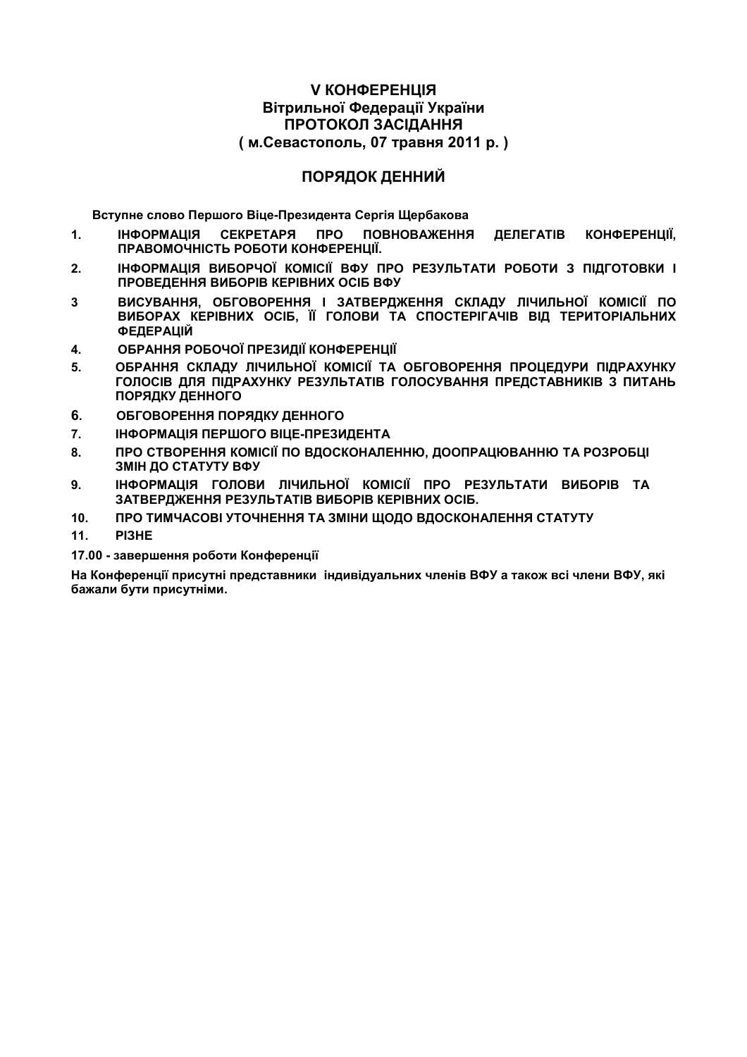## **V КОНФЕРЕНЦІЯ** Вітрильної Федерації України ПРОТОКОЛ ЗАСІДАННЯ (м.Севастополь, 07 травня 2011 р.)

## ПОРЯДОК ДЕННИЙ

Вступне слово Першого Віце-Президента Сергія Шербакова

- **ІНФОРМАЦІЯ СЕКРЕТАРЯ NPO ПОВНОВАЖЕННЯ**  $\mathbf{1}$ . ДЕЛЕГАТІВ КОНФЕРЕНЦІЇ. ПРАВОМОЧНІСТЬ РОБОТИ КОНФЕРЕНЦІЇ.
- $2.$ ІНФОРМАЦІЯ ВИБОРЧОЇ КОМІСІЇ ВФУ ПРО РЕЗУЛЬТАТИ РОБОТИ З ПІДГОТОВКИ І ПРОВЕДЕННЯ ВИБОРІВ КЕРІВНИХ ОСІБ ВФУ
- ВИСУВАННЯ, ОБГОВОРЕННЯ І ЗАТВЕРДЖЕННЯ СКЛАДУ ЛІЧИЛЬНОЇ КОМІСІЇ ПО  $\mathbf{3}$ ВИБОРАХ КЕРІВНИХ ОСІБ, ЇЇ ГОЛОВИ ТА СПОСТЕРІГАЧІВ ВІД ТЕРИТОРІАЛЬНИХ **ФЕДЕРАЦІЙ**
- ОБРАННЯ РОБОЧОЇ ПРЕЗИДІЇ КОНФЕРЕНЦІЇ  $\overline{4}$ .
- ОБРАННЯ СКЛАДУ ЛІЧИЛЬНОЇ КОМІСІЇ ТА ОБГОВОРЕННЯ ПРОЦЕДУРИ ПІДРАХУНКУ 5. ГОЛОСІВ ДЛЯ ПІДРАХУНКУ РЕЗУЛЬТАТІВ ГОЛОСУВАННЯ ПРЕДСТАВНИКІВ З ПИТАНЬ ПОРЯДКУ ДЕННОГО
- 6. ОБГОВОРЕННЯ ПОРЯДКУ ДЕННОГО
- $\overline{7}$ . ІНФОРМАЦІЯ ПЕРШОГО ВІЦЕ-ПРЕЗИДЕНТА
- $\mathbf{R}$ ПРО СТВОРЕННЯ КОМІСІЇ ПО ВДОСКОНАЛЕННЮ, ДООПРАЦЮВАННЮ ТА РОЗРОБЦІ ЗМІН ДО СТАТУТУ ВФУ
- 9. ІНФОРМАЦІЯ ГОЛОВИ ЛІЧИЛЬНОЇ КОМІСІЇ ПРО РЕЗУЛЬТАТИ ВИБОРІВ ТА ЗАТВЕРДЖЕННЯ РЕЗУЛЬТАТІВ ВИБОРІВ КЕРІВНИХ ОСІБ.
- $10<sub>1</sub>$ ПРО ТИМЧАСОВІ УТОЧНЕННЯ ТА ЗМІНИ ШОДО ВДОСКОНАЛЕННЯ СТАТУТУ
- $11.$ PI3HE
- 17.00 завершення роботи Конференції

На Конференції присутні представники індивідуальних членів ВФУ а також всі члени ВФУ, які бажали бути присутніми.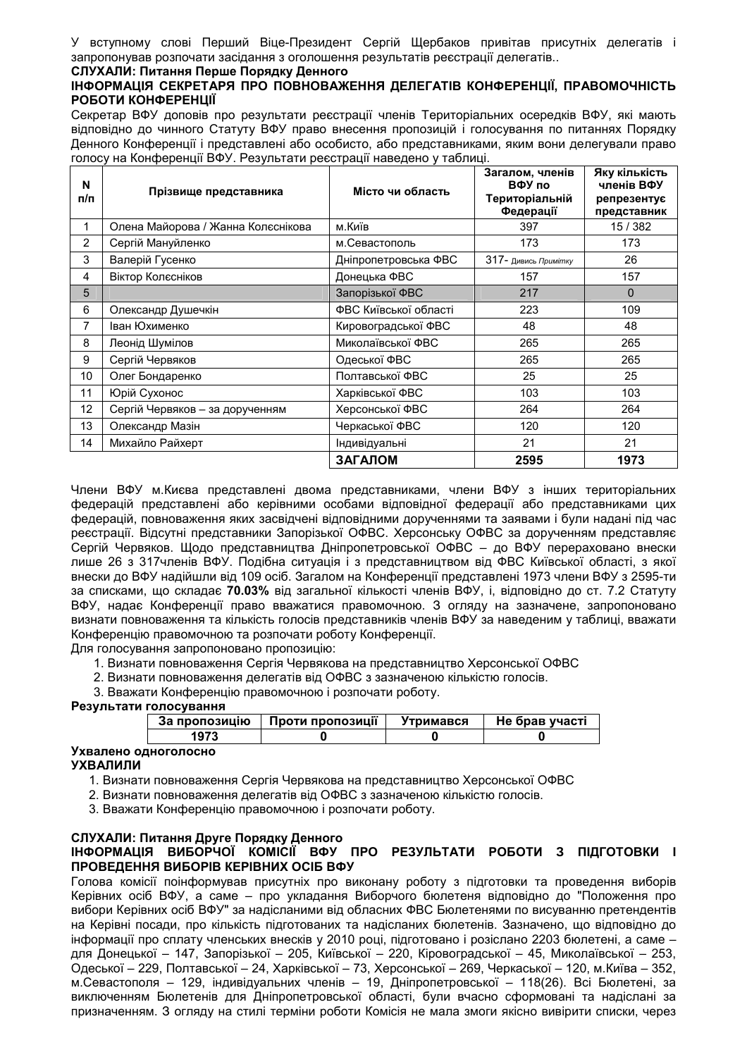У вступному слові Перший Віце-Президент Сергій Щербаков привітав присутніх делегатів і запропонував розпочати засідання з оголошення результатів реєстрації делегатів..

#### СЛУХАЛИ: Питання Перше Порядку Денного

#### ІНФОРМАЦІЯ СЕКРЕТАРЯ ПРО ПОВНОВАЖЕННЯ ДЕЛЕГАТІВ КОНФЕРЕНЦІЇ, ПРАВОМОЧНІСТЬ РОБОТИ КОНФЕРЕНЦІЇ

Секретар ВФУ доповів про результати реєстрації членів Територіальних осередків ВФУ, які мають відповідно до чинного Статуту ВФУ право внесення пропозицій і голосування по питаннях Порядку Денного Конференції і представлені або особисто, або представниками, яким вони делегували право голосу на Конференції ВФУ. Результати реєстрації наведено у таблиці.

| N<br>п/п | Прізвище представника              | Місто чи область      | Загалом, членів<br>ВФУ по<br>Територіальній<br>Федерації | Яку кількість<br>членів ВФУ<br>репрезентує<br>представник |
|----------|------------------------------------|-----------------------|----------------------------------------------------------|-----------------------------------------------------------|
| 1        | Олена Майорова / Жанна Колєснікова | м.Київ                | 397                                                      | 15/382                                                    |
| 2        | Сергій Мануйленко                  | м.Севастополь         | 173                                                      | 173                                                       |
| 3        | Валерій Гусенко                    | Дніпропетровська ФВС  | 317- Дивись Примітку                                     | 26                                                        |
| 4        | Віктор Колєсніков                  | Донецька ФВС          | 157                                                      | 157                                                       |
| 5        |                                    | Запорізької ФВС       | 217                                                      | $\Omega$                                                  |
| 6        | Олександр Душечкін                 | ФВС Київської області | 223                                                      | 109                                                       |
| 7        | Іван Юхименко                      | Кировоградської ФВС   | 48                                                       | 48                                                        |
| 8        | Леонід Шумілов                     | Миколаївської ФВС     | 265                                                      | 265                                                       |
| 9        | Сергій Червяков                    | Одеської ФВС          | 265                                                      | 265                                                       |
| 10       | Олег Бондаренко                    | Полтавської ФВС       | 25                                                       | 25                                                        |
| 11       | Юрій Сухонос                       | Харківської ФВС       | 103                                                      | 103                                                       |
| 12       | Сергій Червяков - за дорученням    | Херсонської ФВС       | 264                                                      | 264                                                       |
| 13       | Олександр Мазін                    | Черкаської ФВС        | 120                                                      | 120                                                       |
| 14       | Михайло Райхерт                    | Індивідуальні         | 21                                                       | 21                                                        |
|          |                                    | ЗАГАЛОМ               | 2595                                                     | 1973                                                      |

Члени ВФУ м. Києва представлені двома представниками, члени ВФУ з інших територіальних федерацій представлені або керівними особами відповідної федерації або представниками цих федерацій, повноваження яких засвідчені відповідними дорученнями та заявами і були надані під час реєстрації. Відсутні представники Запорізької ОФВС. Херсонську ОФВС за дорученням представляє Сергій Червяков. Щодо представництва Дніпропетровської ОФВС - до ВФУ перераховано внески лише 26 з 317членів ВФУ. Подібна ситуація і з представництвом від ФВС Київської області, з якої внески до ВФУ надійшли від 109 осіб. Загалом на Конференції представлені 1973 члени ВФУ з 2595-ти за списками, що складає 70.03% від загальної кількості членів ВФУ, і, відповідно до ст. 7.2 Статуту ВФУ, надає Конференції право вважатися правомочною. З огляду на зазначене, запропоновано визнати повноваження та кількість голосів представників членів ВФУ за наведеним у таблиці, вважати Конференцію правомочною та розпочати роботу Конференції.

Для голосування запропоновано пропозицію:

- 1. Визнати повноваження Сергія Червякова на представництво Херсонської ОФВС
- 2. Визнати повноваження делегатів від ОФВС з зазначеною кількістю голосів.
- 3. Вважати Конференцію правомочною і розпочати роботу.

#### Результати голосування

| За пропозицію | Проти пропозиції | Утримався | Не брав участі |
|---------------|------------------|-----------|----------------|
| 1973          |                  |           |                |

#### Ухвалено одноголосно **УХВАЛИЛИ**

1. Визнати повноваження Сергія Червякова на представництво Херсонської ОФВС

- 2. Визнати повноваження делегатів від ОФВС з зазначеною кількістю голосів.
- 3. Вважати Конференцію правомочною і розпочати роботу.

## СЛУХАЛИ: Питання Друге Порядку Денного

#### ІНФОРМАЦІЯ ВИБОРЧОЇ КОМІСІЇ ВФУ ПРО РЕЗУЛЬТАТИ РОБОТИ З ПІДГОТОВКИ І ПРОВЕДЕННЯ ВИБОРІВ КЕРІВНИХ ОСІБ ВФУ

Голова комісії поінформував присутніх про виконану роботу з підготовки та проведення виборів Керівних осіб ВФУ, а саме - про укладання Виборчого бюлетеня відповідно до "Положення про вибори Керівних осіб ВФУ" за надісланими від обласних ФВС Бюлетенями по висуванню претендентів на Керівні посади, про кількість підготованих та надісланих бюлетенів. Зазначено, що відповідно до інформації про сплату членських внесків у 2010 році, підготовано і розіслано 2203 бюлетені, а саме для Донецької - 147, Запорізької - 205, Київської - 220, Кіровоградської - 45, Миколаївської - 253, Одеської - 229, Полтавської - 24, Харківської - 73, Херсонської - 269, Черкаської - 120, м. Київа - 352, м. Севастополя - 129, індивідуальних членів - 19, Дніпропетровської - 118(26). Всі Бюлетені, за виключенням Бюлетенів для Дніпропетровської області. були вчасно сформовані та надіслані за призначенням. З огляду на стилі терміни роботи Комісія не мала змоги якісно вивірити списки, через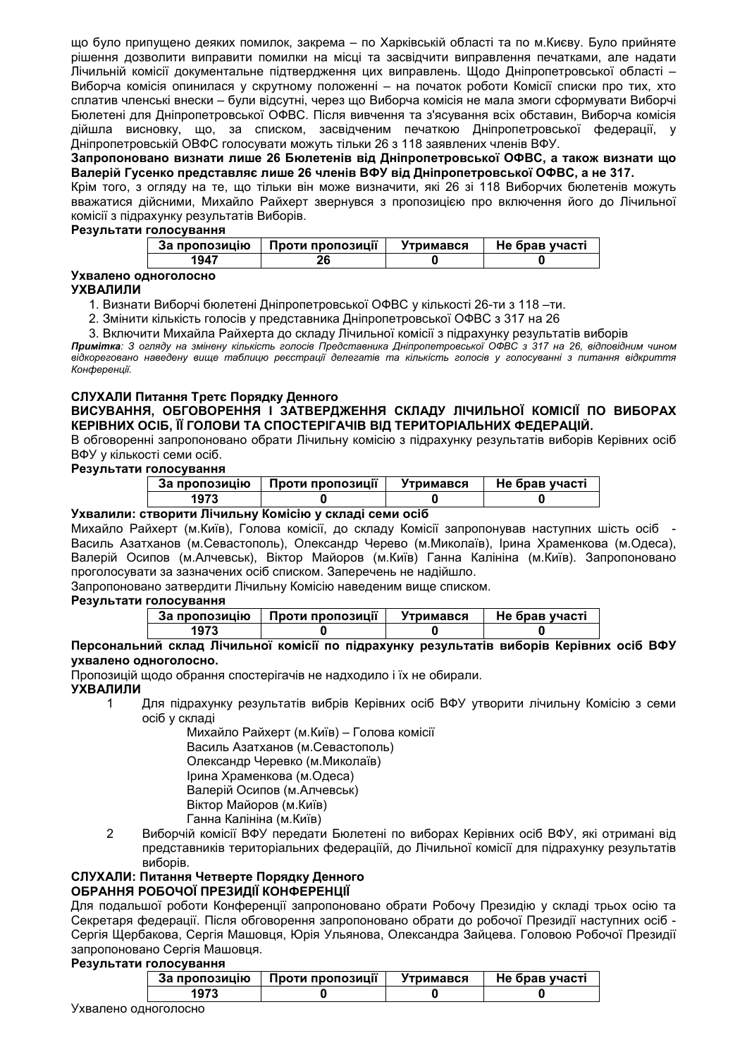що було припущено деяких помилок, закрема - по Харківській області та по м. Києву. Було прийняте рішення дозволити виправити помилки на місці та засвідчити виправлення печатками, але надати Лічильній комісії документальне підтвердження цих виправлень. Щодо Дніпропетровської області -Виборча комісія опинилася у скрутному положенні - на початок роботи Комісії списки про тих, хто сплатив членські внески – були відсутні, через що Виборча комісія не мала змоги сформувати Виборчі Бюлетені для Дніпропетровської ОФВС. Після вивчення та з'ясування всіх обставин, Виборча комісія дійшла висновку, що, за списком, засвідченим печаткою Дніпропетровської федерації, у Дніпропетровській ОВФС голосувати можуть тільки 26 з 118 заявлених членів ВФУ.

Запропоновано визнати лише 26 Бюлетенів від Дніпропетровської ОФВС, а також визнати що Валерій Гусенко представляє лише 26 членів ВФУ від Дніпропетровської ОФВС, а не 317.

Крім того, з огляду на те, що тільки він може визначити, які 26 зі 118 Виборчих бюлетенів можуть вважатися дійсними, Михайло Райхерт звернувся з пропозицією про включення його до Лічильної комісії з підрахунку результатів Виборів.

Результати голосування

| За пропозицію | Проти пропозиції | Утримався | Не брав участі |
|---------------|------------------|-----------|----------------|
| 1947          |                  |           |                |

## Ухвалено одноголосно

#### **УХВАЛИЛИ**

1. Визнати Виборчі бюлетені Дніпропетровської ОФВС у кількості 26-ти з 118-ти.

2. Змінити кількість голосів у представника Дніпропетровської ОФВС з 317 на 26

3. Включити Михайла Райхерта до складу Лічильної комісії з підрахунку результатів виборів

Примітка: 3 огляду на змінену кількість голосів Представника Дніпропетровської ОФВС з 317 на 26, відповідним чином відкореговано наведену вище таблицю реєстрації делегатів та кількість голосів у голосуванні з питання відкриття Конферениї.

## СЛУХАЛИ Питання Третє Порядку Денного

#### ВИСУВАННЯ, ОБГОВОРЕННЯ І ЗАТВЕРДЖЕННЯ СКЛАДУ ЛІЧИЛЬНОЇ КОМІСІЇ ПО ВИБОРАХ КЕРІВНИХ ОСІБ, ЇЇ ГОЛОВИ ТА СПОСТЕРІГАЧІВ ВІД ТЕРИТОРІАЛЬНИХ ФЕДЕРАЦІЙ.

В обговоренні запропоновано обрати Лічильну комісію з підрахунку результатів виборів Керівних осіб ВФУ у кількості семи осіб.

#### Результати голосування

| За пропозицію | Проти пропозиції | Утримався | Не брав участі |
|---------------|------------------|-----------|----------------|
|               |                  |           |                |

### Ухвалили: створити Лічильну Комісію у складі семи осіб

Михайло Райхерт (м. Київ), Голова комісії, до складу Комісії запропонував наступних шість осіб -Василь Азатханов (м.Севастополь), Олександр Черево (м.Миколаїв), Ірина Храменкова (м.Одеса), Валерій Осипов (м.Алчевськ), Віктор Майоров (м.Київ) Ганна Калініна (м.Київ). Запропоновано проголосувати за зазначених осіб списком. Заперечень не надійшло.

Запропоновано затвердити Лічильну Комісію наведеним вище списком.

#### Результати голосування

| За пропозицію | Проти пропозиції | Утримався | Не брав участі |
|---------------|------------------|-----------|----------------|
| 1973          |                  |           |                |

#### Персональний склад Лічильної комісії по підрахунку результатів виборів Керівних осіб ВФУ ухвалено одноголосно.

Пропозицій щодо обрання спостерігачів не надходило і їх не обирали.

#### **УХВАЛИЛИ**

Для підрахунку результатів вибрів Керівних осіб ВФУ утворити лічильну Комісію з семи  $\mathbf{1}$ осіб у складі

Михайло Райхерт (м. Київ) - Голова комісії Василь Азатханов (м. Севастополь) Олександр Черевко (м. Миколаїв) Ірина Храменкова (м. Одеса) Валерій Осипов (м.Алчевськ) Віктор Майоров (м. Київ) Ганна Калініна (м. Київ)

 $\mathcal{P}$ Виборчій комісії ВФУ передати Бюлетені по виборах Керівних осіб ВФУ, які отримані від представників територіальних федераціїй, до Лічильної комісії для підрахунку результатів виборів.

#### СЛУХАЛИ: Питання Четверте Порядку Денного ОБРАННЯ РОБОЧОЇ ПРЕЗИДІЇ КОНФЕРЕНЦІЇ

Для подальшої роботи Конференції запропоновано обрати Робочу Президію у складі трьох осію та Секретаря федерації. Після обговорення запропоновано обрати до робочої Президії наступних осіб -Сергія Щербакова, Сергія Машовця, Юрія Ульянова, Олександра Зайцева. Головою Робочої Президії запропоновано Сергія Машовця.

### Результати голосування

| За пропозицію | Проти пропозиції | Утримався | Не брав участі |
|---------------|------------------|-----------|----------------|
| 13 I J        |                  |           |                |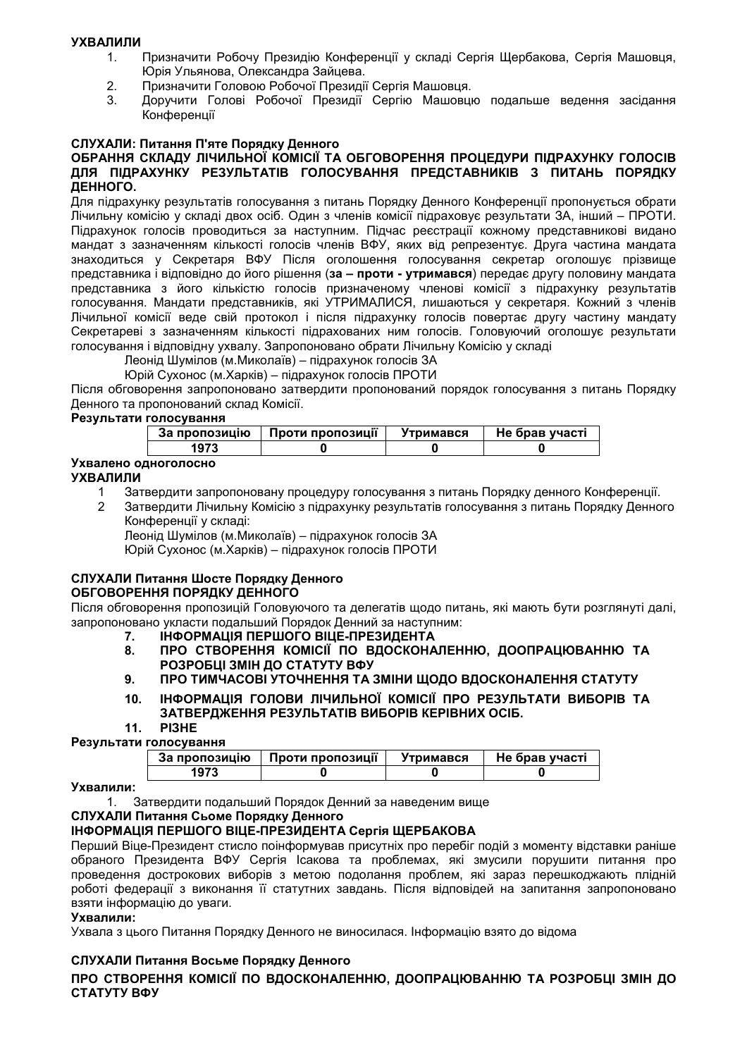#### **УХВАЛИЛИ**

- Призначити Робочу Президію Конференції у складі Сергія Щербакова, Сергія Машовця,  $1<sub>1</sub>$ Юрія Ульянова. Олександра Зайцева.
- Призначити Головою Робочої Президії Сергія Машовця.  $2.$
- $\mathbf{3}$ Доручити Голові Робочої Президії Сергію Машовцю подальше ведення засідання Конференції

## СЛУХАЛИ: Питання П'яте Порядку Денного

#### ОБРАННЯ СКЛАДУ ЛІЧИЛЬНОЇ КОМІСІЇ ТА ОБГОВОРЕННЯ ПРОЦЕДУРИ ПІДРАХУНКУ ГОЛОСІВ ДЛЯ ПІДРАХУНКУ РЕЗУЛЬТАТІВ ГОЛОСУВАННЯ ПРЕДСТАВНИКІВ З ПИТАНЬ ПОРЯДКУ ДЕННОГО.

Для підрахунку результатів голосування з питань Порядку Денного Конференції пропонується обрати Лічильну комісію у складі двох осіб. Один з членів комісії підраховує результати ЗА, інший - ПРОТИ. Підрахунок голосів проводиться за наступним. Підчас реєстрації кожному представникові видано мандат з зазначенням кількості голосів членів ВФУ, яких від репрезентує. Друга частина мандата знаходиться у Секретаря ВФУ Після оголошення голосування секретар оголошує прізвище представника і відповідно до його рішення (за - проти - утримався) передає другу половину мандата представника з його кількістю голосів призначеному членові комісії з підрахунку результатів<br>голосування Мандати представників, які УТРИМАЛИСЯ, лишаються у секретаря Кожний з членів Лічильної комісії веде свій протокол і після підрахунку голосів повертає другу частину мандату Секретареві з зазначенням кількості підрахованих ним голосів. Головуючий оголошує результати голосування і відповідну ухвалу. Запропоновано обрати Лічильну Комісію у складі

Леонід Шумілов (м. Миколаїв) - підрахунок голосів ЗА

Юрій Сухонос (м. Харків) - підрахунок голосів ПРОТИ

Після обговорення запропоновано затвердити пропонований порядок голосування з питань Порядку Денного та пропонований склад Комісії.

#### Результати голосування

| За пропозицію | Проти пропозиції | Утримався | Не брав участі |
|---------------|------------------|-----------|----------------|
| 1973          |                  |           |                |

## Ухвалено одноголосно

#### **УХВАЛИЛИ**

- $1$ Затвердити запропоновану процедуру голосування з питань Порядку денного Конференції.
- $\overline{2}$ Затвердити Лічильну Комісію з підрахунку результатів голосування з питань Порядку Денного Конференції у складі:

Леонід Шумілов (м. Миколаїв) – підрахунок голосів ЗА Юрій Сухонос (м. Харків) - підрахунок голосів ПРОТИ

#### СЛУХАЛИ Питання Шосте Порядку Денного ОБГОВОРЕННЯ ПОРЯДКУ ДЕННОГО

Після обговорення пропозицій Головуючого та делегатів щодо питань, які мають бути розглянуті далі, запропоновано укласти подальший Порядок Денний за наступним:

- ІНФОРМАЦІЯ ПЕРШОГО ВІЦЕ-ПРЕЗИДЕНТА  $7<sub>1</sub>$
- 8. ПРО СТВОРЕННЯ КОМІСІЇ ПО ВДОСКОНАЛЕННЮ, ДООПРАЦЮВАННЮ ТА РОЗРОБЦІ ЗМІН ДО СТАТУТУ ВФУ
- ПРО ТИМЧАСОВІ УТОЧНЕННЯ ТА ЗМІНИ ЩОДО ВДОСКОНАЛЕННЯ СТАТУТУ 9.
- ІНФОРМАЦІЯ ГОЛОВИ ЛІЧИЛЬНОЇ КОМІСІЇ ПРО РЕЗУЛЬТАТИ ВИБОРІВ ТА  $10<sub>1</sub>$ ЗАТВЕРДЖЕННЯ РЕЗУЛЬТАТІВ ВИБОРІВ КЕРІВНИХ ОСІБ.

#### $11$ PI3HE

#### Результати голосування

| - - - | __            |                  |           |                |  |
|-------|---------------|------------------|-----------|----------------|--|
|       | За пропозицію | Проти пропозиції | Утримався | Не брав участі |  |
|       |               |                  |           |                |  |
|       |               |                  |           |                |  |

#### Ухвалили:

1. Затвердити подальший Порядок Денний за наведеним вище

## СЛУХАЛИ Питання Сьоме Порядку Денного

## **ІНФОРМАЦІЯ ПЕРШОГО ВІЦЕ-ПРЕЗИДЕНТА Сергія ЩЕРБАКОВА**

Перший Віце-Президент стисло поінформував присутніх про перебіг подій з моменту відставки раніше обраного Президента ВФУ Сергія Ісакова та проблемах, які змусили порушити питання про проведення дострокових виборів з метою подолання проблем, які зараз перешкоджають плідній роботі федерації з виконання її статутних завдань. Після відповідей на запитання запропоновано взяти інформацію до уваги.

#### Ухвалили:

Ухвала з цього Питання Порядку Денного не виносилася. Інформацію взято до відома

#### СЛУХАЛИ Питання Восьме Порядку Денного

ПРО СТВОРЕННЯ КОМІСІЇ ПО ВДОСКОНАЛЕННЮ, ДООПРАЦЮВАННЮ ТА РОЗРОБЦІ ЗМІН ДО СТАТУТУ ВФУ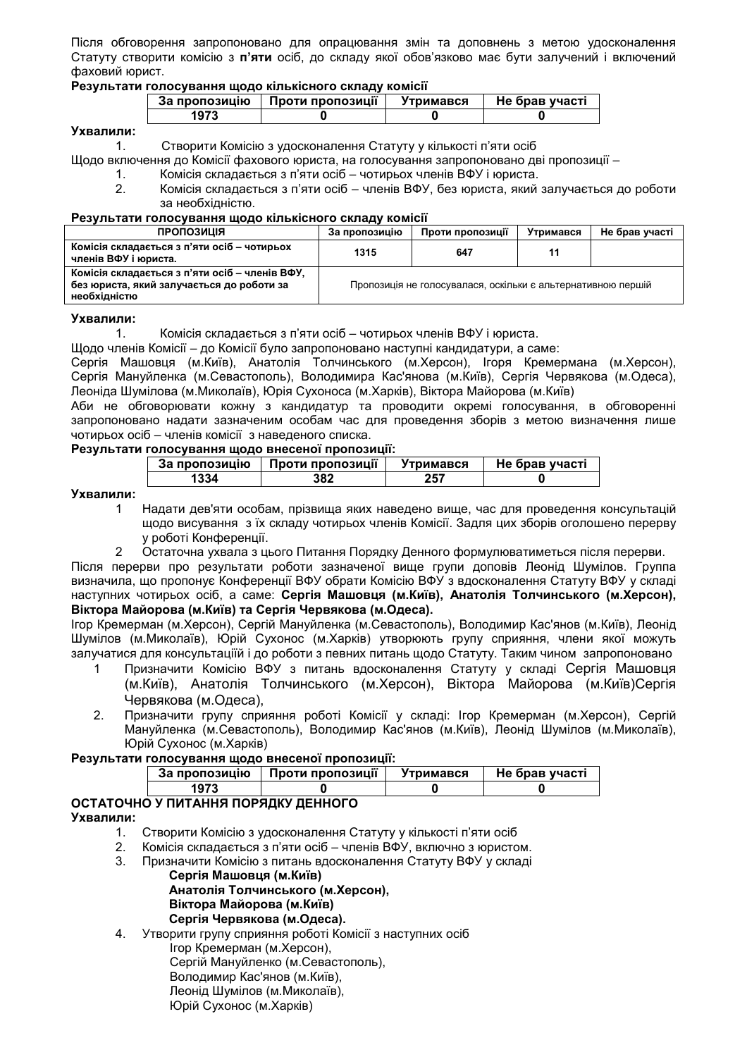Після обговорення запропоновано для опрацювання змін та доповнень з метою удосконалення Статуту створити комісію з п'яти осіб, до складу якої обов'язково має бути залучений і включений фаховий юрист.

#### Результати голосування щодо кількісного складу комісії

| За пропозицію | Проти пропозиції | Утримався | Не брав участі |
|---------------|------------------|-----------|----------------|
|               |                  |           |                |

#### Ухвалили:

Створити Комісію з удосконалення Статуту у кількості п'яти осіб  $1<sub>1</sub>$ 

Шодо включення до Комісії фахового юриста, на голосування запропоновано дві пропозиції -

- Комісія складається з п'яти осіб чотирьох членів ВФУ і юриста.  $1<sub>1</sub>$
- $\mathcal{P}$ Комісія складається з п'яти осіб – членів ВФУ, без юриста, який залучається до роботи за необхідністю.

#### Результати голосування щодо кількісного складу комісії

| ПРОПОЗИЦІЯ                                                                                                  | За пропозицію | Проти пропозиції                                             | Утримався | Не брав участі |
|-------------------------------------------------------------------------------------------------------------|---------------|--------------------------------------------------------------|-----------|----------------|
| Комісія складається з п'яти осіб – чотирьох<br>членів ВФУ і юриста.                                         | 1315          | 647                                                          |           |                |
| Комісія складається з п'яти осіб – членів ВФУ,<br>без юриста, який залучається до роботи за<br>необхідністю |               | Пропозиція не голосувалася, оскільки є альтернативною першій |           |                |

#### Ухвалили:

Шодо членів Комісії – до Комісії було запропоновано наступні кандидатури, а саме:

Сергія Машовця (м. Київ), Анатолія Толчинського (м. Херсон), Ігоря Кремермана (м. Херсон), Сергія Мануйленка (м.Севастополь), Володимира Кас'янова (м.Київ), Сергія Червякова (м.Одеса), Леоніда Шумілова (м. Миколаїв), Юрія Сухоноса (м. Харків), Віктора Майорова (м. Київ)

Аби не обговорювати кожну з кандидатур та проводити окремі голосування, в обговоренні запропоновано надати зазначеним особам час для проведення зборів з метою визначення лише чотирьох осіб - членів комісії з наведеного списка.

#### Результати голосування щодо внесеної пропозиції:

| За пропозицію | <br>Проти пропозиції | Утримався | Не брав участі |
|---------------|----------------------|-----------|----------------|
| ىدد.          | 382                  | 257       |                |

#### Ухвалили:

- Надати дев'яти особам, прізвища яких наведено вище, час для проведення консультацій  $\mathbf{1}$ щодо висування з їх складу чотирьох членів Комісії. Задля цих зборів оголошено перерву у роботі Конференції.  $\overline{2}$ 
	- Остаточна ухвала з цього Питання Порядку Денного формулюватиметься після перерви.

Після перерви про результати роботи зазначеної вище групи доповів Леонід Шумілов. Группа визначила, що пропонує Конференції ВФУ обрати Комісію ВФУ з вдосконалення Статуту ВФУ у складі наступних чотирьох осіб, а саме: Сергія Машовця (м. Київ), Анатолія Толчинського (м. Херсон), Віктора Майорова (м. Київ) та Сергія Червякова (м. Одеса).

Ігор Кремерман (м. Херсон), Сергій Мануйленка (м. Севастополь), Володимир Кас'янов (м. Київ), Леонід Шумілов (м. Миколаїв), Юрій Сухонос (м. Харків) утворюють групу сприяння, члени якої можуть залучатися для консультаціїй і до роботи з певних питань щодо Статуту. Таким чином запропоновано

- Призначити Комісію ВФУ з питань вдосконалення Статуту у складі Сергія Машовця  $\mathbf{1}$ (м. Київ), Анатолія Толчинського (м. Херсон), Віктора Майорова (м. Київ)Сергія Червякова (м. Одеса),
- $2<sup>1</sup>$ Призначити групу сприяння роботі Комісії у складі: Ігор Кремерман (м. Херсон). Сергій Мануйленка (м.Севастополь), Володимир Кас'янов (м.Київ), Леонід Шумілов (м.Миколаїв), Юрій Сухонос (м. Харків)

#### Результати голосування шодо внесеної пропозиції:

| За пропозицію | <br>Проти пропозиції | Утримався | Не брав участі |
|---------------|----------------------|-----------|----------------|
|               |                      |           |                |

#### ОСТАТОЧНО У ПИТАННЯ ПОРЯДКУ ДЕННОГО Ухвалили:

- 1. Створити Комісію з удосконалення Статуту у кількості п'яти осіб
- $2.$ Комісія складається з п'яти осіб - членів ВФУ, включно з юристом.
- Призначити Комісію з питань вдосконалення Статуту ВФУ у складі  $\mathcal{R}$ 
	- Сергія Машовця (м. Київ) Анатолія Толчинського (м. Херсон), Віктора Майорова (м. Київ) Сергія Червякова (м. Одеса).
- Утворити групу сприяння роботі Комісії з наступних осіб 4. Ігор Кремерман (м. Херсон), Сергій Мануйленко (м.Севастополь), Володимир Кас'янов (м. Київ), Леонід Шумілов (м. Миколаїв),
	- Юрій Сухонос (м. Харків)

Комісія складається з п'яти осіб – чотирьох членів ВФУ і юриста.  $\mathbf{1}$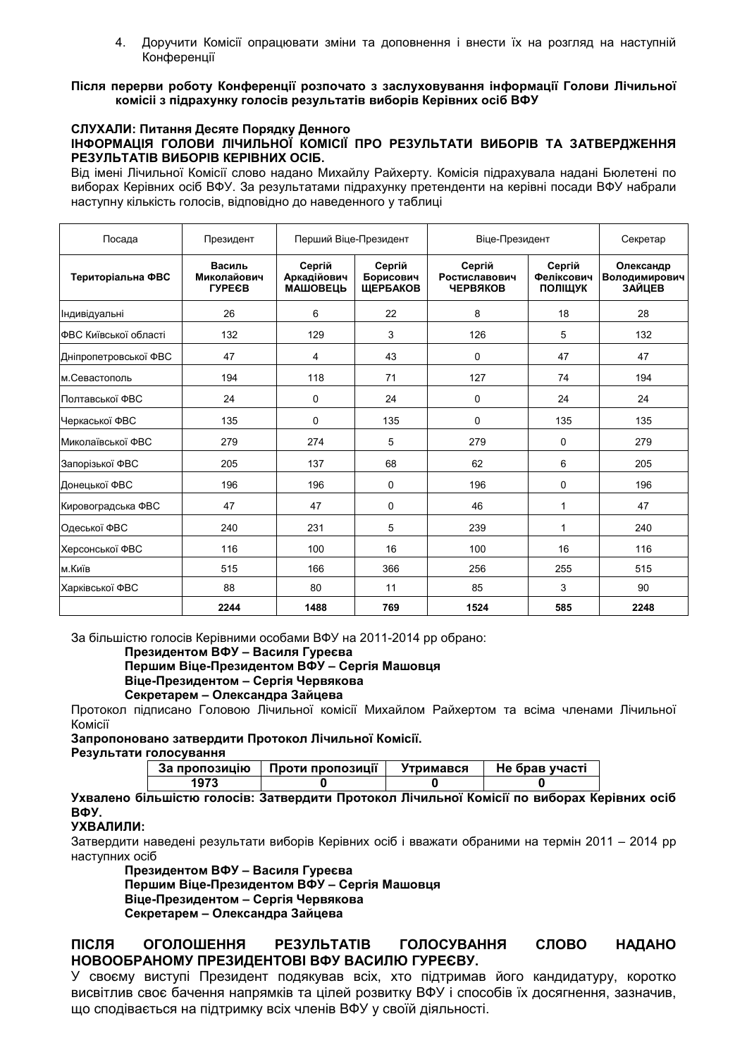4. Доручити Комісії опрацювати зміни та доповнення і внести їх на розгляд на наступній Конференції

#### Після перерви роботу Конференції розпочато з заслуховування інформації Голови Лічильної комісіі з підрахунку голосів результатів виборів Керівних осіб ВФУ

#### СЛУХАЛИ: Питання Десяте Порядку Денного ІНФОРМАЦІЯ ГОЛОВИ ЛІЧИЛЬНОЇ КОМІСІЇ ПРО РЕЗУЛЬТАТИ ВИБОРІВ ТА ЗАТВЕРДЖЕННЯ РЕЗУЛЬТАТІВ ВИБОРІВ КЕРІВНИХ ОСІБ.

Від імені Лічильної Комісії слово надано Михайлу Райхерту. Комісія підрахувала надані Бюлетені по виборах Керівних осіб ВФУ. За результатами підрахунку претенденти на керівні посади ВФУ набрали наступну кількість голосів, відповідно до наведенного у таблиці

| Посада                | Президент                              | Перший Віце-Президент                    |                                        | Віце-Президент                             |                                 | Секретар                                    |
|-----------------------|----------------------------------------|------------------------------------------|----------------------------------------|--------------------------------------------|---------------------------------|---------------------------------------------|
| Територіальна ФВС     | Василь<br>Миколайович<br><b>TYPECB</b> | Сергій<br>Аркадійович<br><b>МАШОВЕЦЬ</b> | Сергій<br>Борисович<br><b>ШЕРБАКОВ</b> | Сергій<br>Ростиславович<br><b>ЧЕРВЯКОВ</b> | Сергій<br>Феліксович<br>ПОЛІШУК | Олександр<br>Володимирович<br><b>ЗАЙЦЕВ</b> |
| Індивідуальні         | 26                                     | 6                                        | 22                                     | 8                                          | 18                              | 28                                          |
| ФВС Київської області | 132                                    | 129                                      | 3                                      | 126                                        | 5                               | 132                                         |
| Дніпропетровської ФВС | 47                                     | 4                                        | 43                                     | 0                                          | 47                              | 47                                          |
| м.Севастополь         | 194                                    | 118                                      | 71                                     | 127                                        | 74                              | 194                                         |
| Полтавської ФВС       | 24                                     | 0                                        | 24                                     | 0                                          | 24                              | 24                                          |
| Черкаської ФВС        | 135                                    | $\Omega$                                 | 135                                    | 0                                          | 135                             | 135                                         |
| Миколаївської ФВС     | 279                                    | 274                                      | 5                                      | 279                                        | $\Omega$                        | 279                                         |
| Запорізької ФВС       | 205                                    | 137                                      | 68                                     | 62                                         | 6                               | 205                                         |
| Донецької ФВС         | 196                                    | 196                                      | 0                                      | 196                                        | 0                               | 196                                         |
| Кировоградська ФВС    | 47                                     | 47                                       | 0                                      | 46                                         | 1                               | 47                                          |
| Одеської ФВС          | 240                                    | 231                                      | 5                                      | 239                                        | 1                               | 240                                         |
| Херсонської ФВС       | 116                                    | 100                                      | 16                                     | 100                                        | 16                              | 116                                         |
| м.Київ                | 515                                    | 166                                      | 366                                    | 256                                        | 255                             | 515                                         |
| Харківської ФВС       | 88                                     | 80                                       | 11                                     | 85                                         | 3                               | 90                                          |
|                       | 2244                                   | 1488                                     | 769                                    | 1524                                       | 585                             | 2248                                        |

За більшістю голосів Керівними особами ВФУ на 2011-2014 рр обрано:

#### Президентом ВФУ - Василя Гуреєва

## Першим Віце-Президентом ВФУ - Сергія Машовця Віце-Президентом - Сергія Червякова

## Секретарем - Олександра Зайцева

Протокол підписано Головою Лічильної комісії Михайлом Райхертом та всіма членами Лічильної Комісії

#### Запропоновано затвердити Протокол Лічильної Комісії.

#### Результати голосування

| За пропозицію | Проти пропозиції | Утримався | Не брав участі |
|---------------|------------------|-----------|----------------|
| 1973          |                  |           |                |

#### Ухвалено більшістю голосів: Затвердити Протокол Лічильної Комісії по виборах Керівних осіб BOY.

## УХВАЛИЛИ:

Затвердити наведені результати виборів Керівних осіб і вважати обраними на термін 2011 - 2014 рр наступних осіб

Президентом ВФУ - Василя Гуреєва

Першим Віце-Президентом ВФУ - Сергія Машовця Віце-Президентом - Сергія Червякова Секретарем - Олександра Зайцева

#### після ОГОЛОШЕННЯ **РЕЗУЛЬТАТІВ ГОЛОСУВАННЯ** СЛОВО **НАДАНО** НОВООБРАНОМУ ПРЕЗИДЕНТОВІ ВФУ ВАСИЛЮ ГУРЕЄВУ.

У своєму виступі Президент подякував всіх, хто підтримав його кандидатуру, коротко висвітлив своє бачення напрямків та цілей розвитку ВФУ і способів їх досягнення, зазначив, що сподівається на підтримку всіх членів ВФУ у своїй діяльності.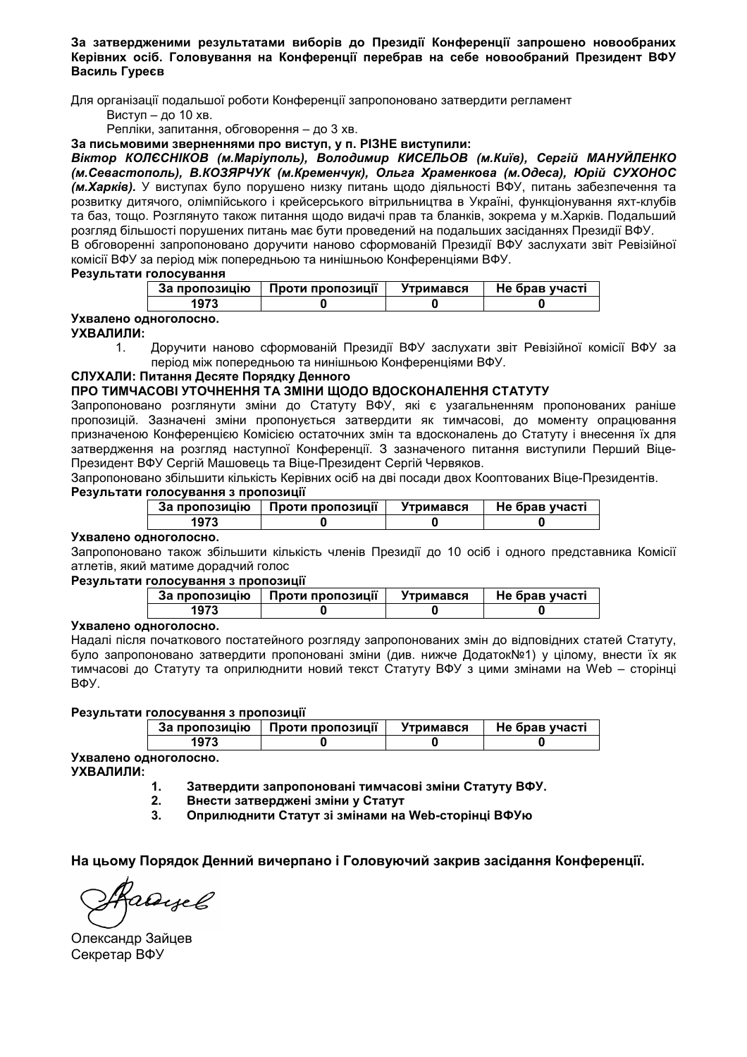За затвердженими результатами виборів до Президії Конференції запрошено новообраних Керівних осіб. Головування на Конференції перебрав на себе новообраний Президент ВФУ Василь Гуреєв

Для організації подальшої роботи Конференції запропоновано затвердити регламент

Виступ - до 10 хв.

Репліки, запитання, обговорення - до 3 хв.

За письмовими зверненнями про виступ, у п. РІЗНЕ виступили:

Віктор КОЛЄСНІКОВ (м. Маріуполь), Володимир КИСЕЛЬОВ (м. Київ), Сергій МАНУЙЛЕНКО (м.Севастополь), В.КОЗЯРЧУК (м.Кременчук), Ольга Храменкова (м.Одеса), Юрій СУХОНОС (м. Харків). У виступах було порушено низку питань щодо діяльності ВФУ, питань забезпечення та розвитку дитячого, олімпійського і крейсерського вітрильництва в Україні, функціонування яхт-клубів та баз, тощо. Розглянуто також питання щодо видачі прав та бланків, зокрема у м. Харків. Подальший розгляд більшості порушених питань має бути проведений на подальших засіданнях Президії ВФУ. В обговоренні запропоновано доручити наново сформованій Президії ВФУ заслухати звіт Ревізійної комісії ВФУ за період між попередньою та нинішньою Конференціями ВФУ.

#### Результати голосування

| За пропозицію | Проти пропозиції | <b>Утримався</b> | Не брав участі |
|---------------|------------------|------------------|----------------|
| 1973          |                  |                  |                |

## Ухвалено одноголосно.

#### УХВАЛИЛИ:

Доручити наново сформованій Президії ВФУ заслухати звіт Ревізійної комісії ВФУ за  $\mathbf{1}$ період між попередньою та нинішньою Конференціями ВФУ.

#### СЛУХАЛИ: Питання Десяте Порядку Денного

## ПРО ТИМЧАСОВІ УТОЧНЕННЯ ТА ЗМІНИ ЩОДО ВДОСКОНАЛЕННЯ СТАТУТУ

Запропоновано розглянути зміни до Статуту ВФУ, які є узагальненням пропонованих раніше пропозицій. Зазначені зміни пропонується затвердити як тимчасові, до моменту опрацювання призначеною Конференцією Комісією остаточних змін та вдосконалень до Статуту і внесення їх для затвердження на розгляд наступної Конференції. З зазначеного питання виступили Перший Віце-Президент ВФУ Сергій Машовець та Віце-Президент Сергій Червяков.

Запропоновано збільшити кількість Керівних осіб на дві посади двох Кооптованих Віце-Президентів.

## Результати голосування з пропозиції

| За пропозицію | Проти пропозиції | Утримався | Не брав участі |
|---------------|------------------|-----------|----------------|
| 1973          |                  |           |                |

#### Ухвалено одноголосно.

Запропоновано також збільшити кількість членів Президії до 10 осіб і одного представника Комісії атлетів, який матиме дорадчий голос

#### Результати голосування з пропозиції

| За пропозицію | Проти пропозиції | Утримався | Не брав участі |
|---------------|------------------|-----------|----------------|
| $197^\circ$   |                  |           |                |

#### Ухвалено одноголосно.

Надалі після початкового постатейного розгляду запропонованих змін до відповідних статей Статуту, було запропоновано затвердити пропоновані зміни (див. нижче Додаток№1) у цілому, внести їх як тимчасові до Статуту та оприлюднити новий текст Статуту ВФУ з цими змінами на Web - сторінці ВФУ.

#### Результати голосування з пропозиції

| пропозицію<br>Jа | Проти пропозиції | Утримався | Не брав участі |
|------------------|------------------|-----------|----------------|
|                  |                  |           |                |

Ухвалено одноголосно. УХВАЛИЛИ:

> Затвердити запропоновані тимчасові зміни Статуту ВФУ.  $\mathbf{1}$ .

- $2.$ Внести затверджені зміни у Статут
- $3.$ Оприлюднити Статут зі змінами на Web-сторінці ВФУю

На цьому Порядок Денний вичерпано і Головуючий закрив засідання Конференції.

Rassyel

Олександр Зайцев Секретар ВФУ